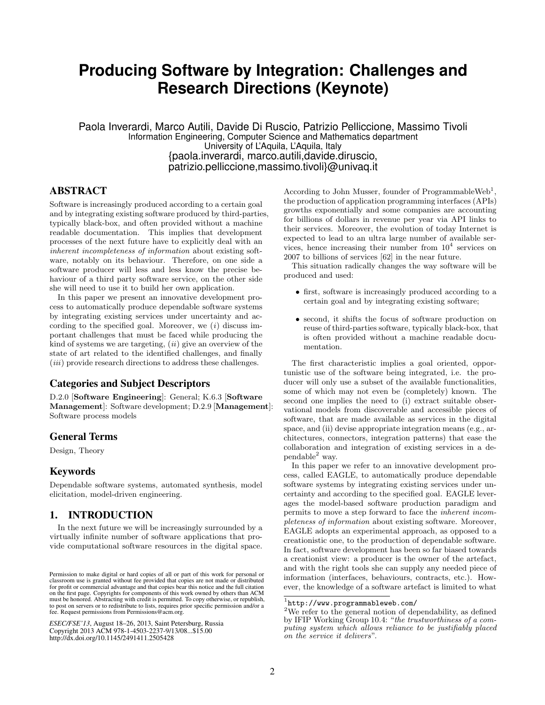# **Producing Software by Integration: Challenges and Research Directions (Keynote)**

Paola Inverardi, Marco Autili, Davide Di Ruscio, Patrizio Pelliccione, Massimo Tivoli Information Engineering, Computer Science and Mathematics department University of L'Aquila, L'Aquila, Italy {paola.inverardi, marco.autili,davide.diruscio, patrizio.pelliccione,massimo.tivoli}@univaq.it

# ABSTRACT

Software is increasingly produced according to a certain goal and by integrating existing software produced by third-parties, typically black-box, and often provided without a machine readable documentation. This implies that development processes of the next future have to explicitly deal with an inherent incompleteness of information about existing software, notably on its behaviour. Therefore, on one side a software producer will less and less know the precise behaviour of a third party software service, on the other side she will need to use it to build her own application.

In this paper we present an innovative development process to automatically produce dependable software systems by integrating existing services under uncertainty and according to the specified goal. Moreover, we  $(i)$  discuss important challenges that must be faced while producing the kind of systems we are targeting,  $(ii)$  give an overview of the state of art related to the identified challenges, and finally  $(iii)$  provide research directions to address these challenges.

#### Categories and Subject Descriptors

D.2.0 [Software Engineering]: General; K.6.3 [Software Management]: Software development; D.2.9 [Management]: Software process models

# General Terms

Design, Theory

#### Keywords

Dependable software systems, automated synthesis, model elicitation, model-driven engineering.

# 1. INTRODUCTION

In the next future we will be increasingly surrounded by a virtually infinite number of software applications that provide computational software resources in the digital space.

ESEC/FSE'13, August 18-26, 2013, Saint Petersburg, Russia *ESEC/FSE* '13, August 18-26, 2013, Saint Petersburg, Russia Copyright 2013 ACM 978-1-4503-2237-9/13/08...\$15.00 http://dx.doi.org/10.1145/2491411.2505428

According to John Musser, founder of ProgrammableWeb<sup>1</sup>, the production of application programming interfaces (APIs) growths exponentially and some companies are accounting for billions of dollars in revenue per year via API links to their services. Moreover, the evolution of today Internet is expected to lead to an ultra large number of available services, hence increasing their number from  $10^4$  services on 2007 to billions of services [62] in the near future.

This situation radically changes the way software will be produced and used:

- first, software is increasingly produced according to a certain goal and by integrating existing software;
- second, it shifts the focus of software production on reuse of third-parties software, typically black-box, that is often provided without a machine readable documentation.

The first characteristic implies a goal oriented, opportunistic use of the software being integrated, i.e. the producer will only use a subset of the available functionalities, some of which may not even be (completely) known. The second one implies the need to (i) extract suitable observational models from discoverable and accessible pieces of software, that are made available as services in the digital space, and (ii) devise appropriate integration means (e.g., architectures, connectors, integration patterns) that ease the collaboration and integration of existing services in a de $pendable<sup>2</sup>$  way.

In this paper we refer to an innovative development process, called EAGLE, to automatically produce dependable software systems by integrating existing services under uncertainty and according to the specified goal. EAGLE leverages the model-based software production paradigm and permits to move a step forward to face the inherent incompleteness of information about existing software. Moreover, EAGLE adopts an experimental approach, as opposed to a creationistic one, to the production of dependable software. In fact, software development has been so far biased towards a creationist view: a producer is the owner of the artefact, and with the right tools she can supply any needed piece of information (interfaces, behaviours, contracts, etc.). However, the knowledge of a software artefact is limited to what

classroom use is granted without fee provided that copies are not made or distributed<br>for an fit to communical advantage and that copies has this patient and the full distinct for profit or commercial advantage and that copies bear this notice and the furt chattor<br>on the first page. Convirights for components of this work owned by others than ACM on the first page. Copyrights for components of this work owned by others than ACM<br>must be honored. Abstracting with credit is permitted. To copy otherwise, or republish, to post on servers or to redistribute to lists, requires prior specific permission and/or a fee. Request permissions from Permissions@acm.org. Permission to make digital or hard copies of all or part of this work for personal or for profit or commercial advantage and that copies bear this notice and the full citation

<sup>1</sup> http://www.programmableweb.com/

<sup>2</sup>We refer to the general notion of dependability, as defined by IFIP Working Group 10.4: "the trustworthiness of a computing system which allows reliance to be justifiably placed on the service it delivers".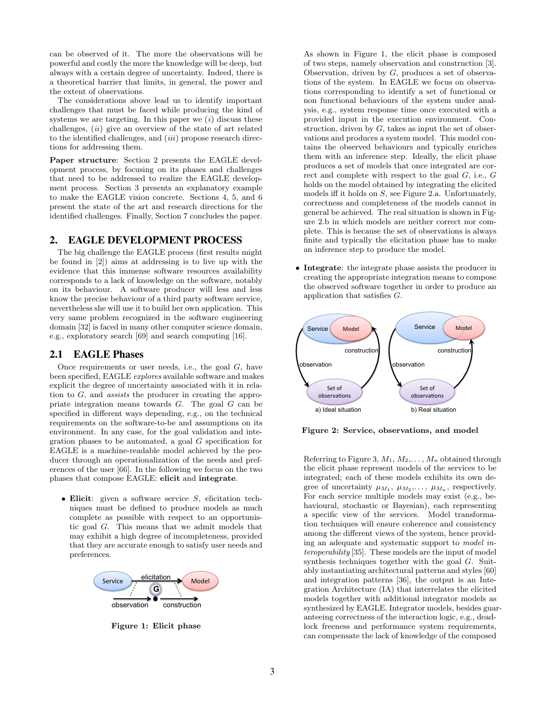can be observed of it. The more the observations will be powerful and costly the more the knowledge will be deep, but always with a certain degree of uncertainty. Indeed, there is a theoretical barrier that limits, in general, the power and the extent of observations.

The considerations above lead us to identify important challenges that must be faced while producing the kind of systems we are targeting. In this paper we  $(i)$  discuss these challenges,  $(ii)$  give an overview of the state of art related to the identified challenges, and *(iii)* propose research directions for addressing them.

Paper structure: Section 2 presents the EAGLE development process, by focusing on its phases and challenges that need to be addressed to realize the EAGLE development process. Section 3 presents an explanatory example to make the EAGLE vision concrete. Sections 4, 5, and 6 present the state of the art and research directions for the identified challenges. Finally, Section 7 concludes the paper.

## 2. EAGLE DEVELOPMENT PROCESS

The big challenge the EAGLE process (first results might be found in [2]) aims at addressing is to live up with the evidence that this immense software resources availability corresponds to a lack of knowledge on the software, notably on its behaviour. A software producer will less and less know the precise behaviour of a third party software service, nevertheless she will use it to build her own application. This very same problem recognized in the software engineering domain [32] is faced in many other computer science domain, e.g., exploratory search [69] and search computing [16].

#### 2.1 EAGLE Phases

Once requirements or user needs, i.e., the goal  $G$ , have been specified, EAGLE explores available software and makes explicit the degree of uncertainty associated with it in relation to G, and assists the producer in creating the appropriate integration means towards G. The goal G can be specified in different ways depending, e.g., on the technical requirements on the software-to-be and assumptions on its environment. In any case, for the goal validation and integration phases to be automated, a goal G specification for EAGLE is a machine-readable model achieved by the producer through an operationalization of the needs and preferences of the user [66]. In the following we focus on the two phases that compose EAGLE: elicit and integrate.

• Elicit: given a software service  $S$ , elicitation techniques must be defined to produce models as much complete as possible with respect to an opportunistic goal G. This means that we admit models that may exhibit a high degree of incompleteness, provided that they are accurate enough to satisfy user needs and preferences.



Figure 1: Elicit phase

As shown in Figure 1, the elicit phase is composed of two steps, namely observation and construction [3]. Observation, driven by  $G$ , produces a set of observations of the system. In EAGLE we focus on observations corresponding to identify a set of functional or non functional behaviours of the system under analysis, e.g., system response time once executed with a provided input in the execution environment. Construction, driven by  $G$ , takes as input the set of observations and produces a system model. This model contains the observed behaviours and typically enriches them with an inference step. Ideally, the elicit phase produces a set of models that once integrated are correct and complete with respect to the goal  $G$ , i.e.,  $G$ holds on the model obtained by integrating the elicited models iff it holds on S, see Figure 2.a. Unfortunately, correctness and completeness of the models cannot in general be achieved. The real situation is shown in Figure 2.b in which models are neither correct nor complete. This is because the set of observations is always finite and typically the elicitation phase has to make an inference step to produce the model.

• Integrate: the integrate phase assists the producer in creating the appropriate integration means to compose the observed software together in order to produce an application that satisfies G.



Figure 2: Service, observations, and model

Referring to Figure 3,  $M_1, M_2, \ldots, M_n$  obtained through the elicit phase represent models of the services to be integrated; each of these models exhibits its own degree of uncertainty  $\mu_{M_1}, \mu_{M_2}, \ldots, \mu_{M_n}$ , respectively. For each service multiple models may exist (e.g., behavioural, stochastic or Bayesian), each representing a specific view of the services. Model transformation techniques will ensure coherence and consistency among the different views of the system, hence providing an adequate and systematic support to model interoperability [35]. These models are the input of model synthesis techniques together with the goal G. Suitably instantiating architectural patterns and styles [60] and integration patterns [36], the output is an Integration Architecture (IA) that interrelates the elicited models together with additional integrator models as synthesized by EAGLE. Integrator models, besides guaranteeing correctness of the interaction logic, e.g., deadlock freeness and performance system requirements, can compensate the lack of knowledge of the composed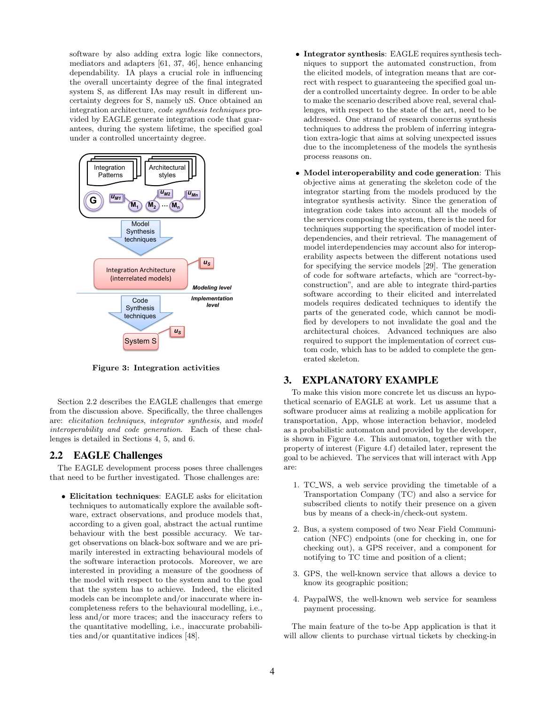software by also adding extra logic like connectors, mediators and adapters [61, 37, 46], hence enhancing dependability. IA plays a crucial role in influencing the overall uncertainty degree of the final integrated system S, as different IAs may result in different uncertainty degrees for S, namely uS. Once obtained an integration architecture, code synthesis techniques provided by EAGLE generate integration code that guarantees, during the system lifetime, the specified goal under a controlled uncertainty degree.



Figure 3: Integration activities

Section 2.2 describes the EAGLE challenges that emerge from the discussion above. Specifically, the three challenges are: elicitation techniques, integrator synthesis, and model interoperability and code generation. Each of these challenges is detailed in Sections 4, 5, and 6.

# 2.2 EAGLE Challenges

The EAGLE development process poses three challenges that need to be further investigated. Those challenges are:

• Elicitation techniques: EAGLE asks for elicitation techniques to automatically explore the available software, extract observations, and produce models that, according to a given goal, abstract the actual runtime behaviour with the best possible accuracy. We target observations on black-box software and we are primarily interested in extracting behavioural models of the software interaction protocols. Moreover, we are interested in providing a measure of the goodness of the model with respect to the system and to the goal that the system has to achieve. Indeed, the elicited models can be incomplete and/or inaccurate where incompleteness refers to the behavioural modelling, i.e., less and/or more traces; and the inaccuracy refers to the quantitative modelling, i.e., inaccurate probabilities and/or quantitative indices [48].

- Integrator synthesis: EAGLE requires synthesis techniques to support the automated construction, from the elicited models, of integration means that are correct with respect to guaranteeing the specified goal under a controlled uncertainty degree. In order to be able to make the scenario described above real, several challenges, with respect to the state of the art, need to be addressed. One strand of research concerns synthesis techniques to address the problem of inferring integration extra-logic that aims at solving unexpected issues due to the incompleteness of the models the synthesis process reasons on.
- Model interoperability and code generation: This objective aims at generating the skeleton code of the integrator starting from the models produced by the integrator synthesis activity. Since the generation of integration code takes into account all the models of the services composing the system, there is the need for techniques supporting the specification of model interdependencies, and their retrieval. The management of model interdependencies may account also for interoperability aspects between the different notations used for specifying the service models [29]. The generation of code for software artefacts, which are "correct-byconstruction", and are able to integrate third-parties software according to their elicited and interrelated models requires dedicated techniques to identify the parts of the generated code, which cannot be modified by developers to not invalidate the goal and the architectural choices. Advanced techniques are also required to support the implementation of correct custom code, which has to be added to complete the generated skeleton.

# 3. EXPLANATORY EXAMPLE

To make this vision more concrete let us discuss an hypothetical scenario of EAGLE at work. Let us assume that a software producer aims at realizing a mobile application for transportation, App, whose interaction behavior, modeled as a probabilistic automaton and provided by the developer, is shown in Figure 4.e. This automaton, together with the property of interest (Figure 4.f) detailed later, represent the goal to be achieved. The services that will interact with App are:

- 1. TC WS, a web service providing the timetable of a Transportation Company (TC) and also a service for subscribed clients to notify their presence on a given bus by means of a check-in/check-out system.
- 2. Bus, a system composed of two Near Field Communication (NFC) endpoints (one for checking in, one for checking out), a GPS receiver, and a component for notifying to TC time and position of a client;
- 3. GPS, the well-known service that allows a device to know its geographic position;
- 4. PaypalWS, the well-known web service for seamless payment processing.

The main feature of the to-be App application is that it will allow clients to purchase virtual tickets by checking-in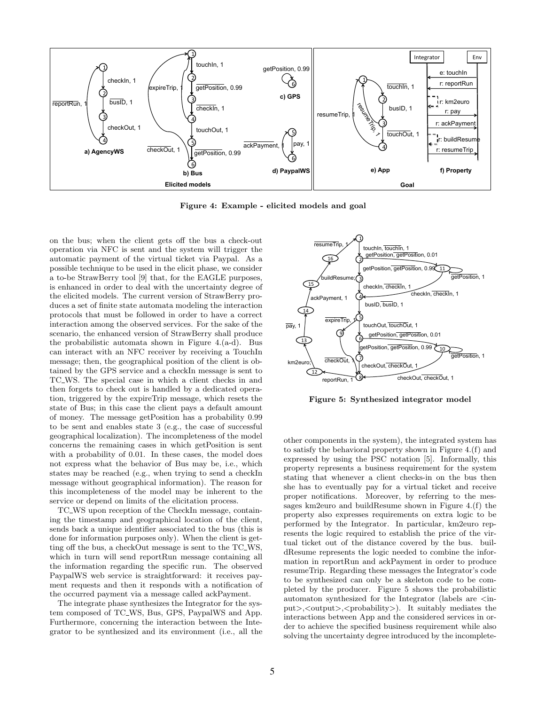

Figure 4: Example - elicited models and goal

on the bus; when the client gets off the bus a check-out operation via NFC is sent and the system will trigger the automatic payment of the virtual ticket via Paypal. As a possible technique to be used in the elicit phase, we consider a to-be StrawBerry tool [9] that, for the EAGLE purposes, is enhanced in order to deal with the uncertainty degree of the elicited models. The current version of StrawBerry produces a set of finite state automata modeling the interaction protocols that must be followed in order to have a correct interaction among the observed services. For the sake of the scenario, the enhanced version of StrawBerry shall produce the probabilistic automata shown in Figure 4.(a-d). Bus can interact with an NFC receiver by receiving a TouchIn message; then, the geographical position of the client is obtained by the GPS service and a checkIn message is sent to TC WS. The special case in which a client checks in and then forgets to check out is handled by a dedicated operation, triggered by the expireTrip message, which resets the state of Bus; in this case the client pays a default amount of money. The message getPosition has a probability 0.99 to be sent and enables state 3 (e.g., the case of successful geographical localization). The incompleteness of the model concerns the remaining cases in which getPosition is sent with a probability of 0.01. In these cases, the model does not express what the behavior of Bus may be, i.e., which states may be reached (e.g., when trying to send a checkIn message without geographical information). The reason for this incompleteness of the model may be inherent to the service or depend on limits of the elicitation process.

TC WS upon reception of the CheckIn message, containing the timestamp and geographical location of the client, sends back a unique identifier associated to the bus (this is done for information purposes only). When the client is getting off the bus, a checkOut message is sent to the TC WS, which in turn will send reportRun message containing all the information regarding the specific run. The observed PaypalWS web service is straightforward: it receives payment requests and then it responds with a notification of the occurred payment via a message called ackPayment.

The integrate phase synthesizes the Integrator for the system composed of TC WS, Bus, GPS, PaypalWS and App. Furthermore, concerning the interaction between the Integrator to be synthesized and its environment (i.e., all the



Figure 5: Synthesized integrator model

other components in the system), the integrated system has to satisfy the behavioral property shown in Figure 4.(f) and expressed by using the PSC notation [5]. Informally, this property represents a business requirement for the system stating that whenever a client checks-in on the bus then she has to eventually pay for a virtual ticket and receive proper notifications. Moreover, by referring to the messages km2euro and buildResume shown in Figure 4.(f) the property also expresses requirements on extra logic to be performed by the Integrator. In particular, km2euro represents the logic required to establish the price of the virtual ticket out of the distance covered by the bus. buildResume represents the logic needed to combine the information in reportRun and ackPayment in order to produce resumeTrip. Regarding these messages the Integrator's code to be synthesized can only be a skeleton code to be completed by the producer. Figure 5 shows the probabilistic automaton synthesized for the Integrator (labels are  $\langle$ input>,<output>,<probability>). It suitably mediates the interactions between App and the considered services in order to achieve the specified business requirement while also solving the uncertainty degree introduced by the incomplete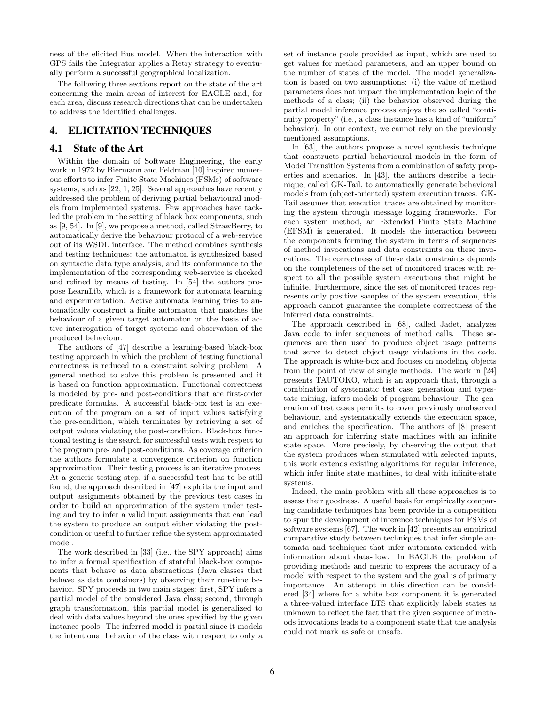ness of the elicited Bus model. When the interaction with GPS fails the Integrator applies a Retry strategy to eventually perform a successful geographical localization.

The following three sections report on the state of the art concerning the main areas of interest for EAGLE and, for each area, discuss research directions that can be undertaken to address the identified challenges.

# 4. ELICITATION TECHNIQUES

## 4.1 State of the Art

Within the domain of Software Engineering, the early work in 1972 by Biermann and Feldman [10] inspired numerous efforts to infer Finite State Machines (FSMs) of software systems, such as [22, 1, 25]. Several approaches have recently addressed the problem of deriving partial behavioural models from implemented systems. Few approaches have tackled the problem in the setting of black box components, such as [9, 54]. In [9], we propose a method, called StrawBerry, to automatically derive the behaviour protocol of a web-service out of its WSDL interface. The method combines synthesis and testing techniques: the automaton is synthesized based on syntactic data type analysis, and its conformance to the implementation of the corresponding web-service is checked and refined by means of testing. In [54] the authors propose LearnLib, which is a framework for automata learning and experimentation. Active automata learning tries to automatically construct a finite automaton that matches the behaviour of a given target automaton on the basis of active interrogation of target systems and observation of the produced behaviour.

The authors of [47] describe a learning-based black-box testing approach in which the problem of testing functional correctness is reduced to a constraint solving problem. A general method to solve this problem is presented and it is based on function approximation. Functional correctness is modeled by pre- and post-conditions that are first-order predicate formulas. A successful black-box test is an execution of the program on a set of input values satisfying the pre-condition, which terminates by retrieving a set of output values violating the post-condition. Black-box functional testing is the search for successful tests with respect to the program pre- and post-conditions. As coverage criterion the authors formulate a convergence criterion on function approximation. Their testing process is an iterative process. At a generic testing step, if a successful test has to be still found, the approach described in [47] exploits the input and output assignments obtained by the previous test cases in order to build an approximation of the system under testing and try to infer a valid input assignments that can lead the system to produce an output either violating the postcondition or useful to further refine the system approximated model.

The work described in [33] (i.e., the SPY approach) aims to infer a formal specification of stateful black-box components that behave as data abstractions (Java classes that behave as data containers) by observing their run-time behavior. SPY proceeds in two main stages: first, SPY infers a partial model of the considered Java class; second, through graph transformation, this partial model is generalized to deal with data values beyond the ones specified by the given instance pools. The inferred model is partial since it models the intentional behavior of the class with respect to only a set of instance pools provided as input, which are used to get values for method parameters, and an upper bound on the number of states of the model. The model generalization is based on two assumptions: (i) the value of method parameters does not impact the implementation logic of the methods of a class; (ii) the behavior observed during the partial model inference process enjoys the so called "continuity property" (i.e., a class instance has a kind of "uniform" behavior). In our context, we cannot rely on the previously mentioned assumptions.

In [63], the authors propose a novel synthesis technique that constructs partial behavioural models in the form of Model Transition Systems from a combination of safety properties and scenarios. In [43], the authors describe a technique, called GK-Tail, to automatically generate behavioral models from (object-oriented) system execution traces. GK-Tail assumes that execution traces are obtained by monitoring the system through message logging frameworks. For each system method, an Extended Finite State Machine (EFSM) is generated. It models the interaction between the components forming the system in terms of sequences of method invocations and data constraints on these invocations. The correctness of these data constraints depends on the completeness of the set of monitored traces with respect to all the possible system executions that might be infinite. Furthermore, since the set of monitored traces represents only positive samples of the system execution, this approach cannot guarantee the complete correctness of the inferred data constraints.

The approach described in [68], called Jadet, analyzes Java code to infer sequences of method calls. These sequences are then used to produce object usage patterns that serve to detect object usage violations in the code. The approach is white-box and focuses on modeling objects from the point of view of single methods. The work in [24] presents TAUTOKO, which is an approach that, through a combination of systematic test case generation and typestate mining, infers models of program behaviour. The generation of test cases permits to cover previously unobserved behaviour, and systematically extends the execution space, and enriches the specification. The authors of [8] present an approach for inferring state machines with an infinite state space. More precisely, by observing the output that the system produces when stimulated with selected inputs, this work extends existing algorithms for regular inference, which infer finite state machines, to deal with infinite-state systems.

Indeed, the main problem with all these approaches is to assess their goodness. A useful basis for empirically comparing candidate techniques has been provide in a competition to spur the development of inference techniques for FSMs of software systems [67]. The work in [42] presents an empirical comparative study between techniques that infer simple automata and techniques that infer automata extended with information about data-flow. In EAGLE the problem of providing methods and metric to express the accuracy of a model with respect to the system and the goal is of primary importance. An attempt in this direction can be considered [34] where for a white box component it is generated a three-valued interface LTS that explicitly labels states as unknown to reflect the fact that the given sequence of methods invocations leads to a component state that the analysis could not mark as safe or unsafe.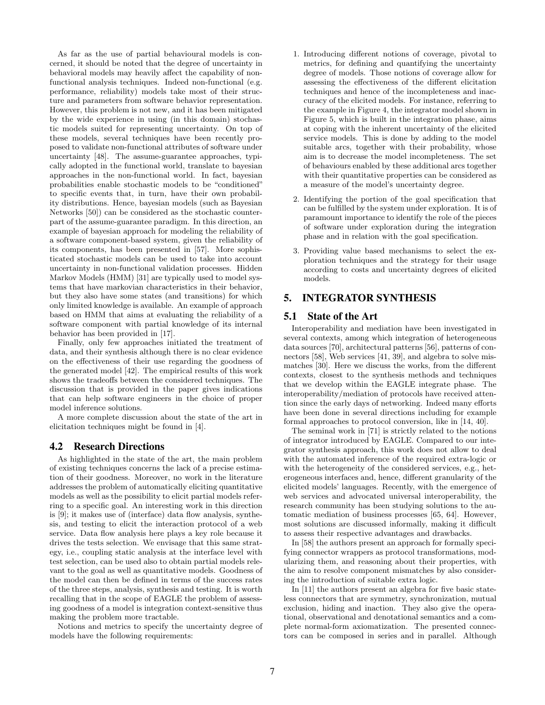As far as the use of partial behavioural models is concerned, it should be noted that the degree of uncertainty in behavioral models may heavily affect the capability of nonfunctional analysis techniques. Indeed non-functional (e.g. performance, reliability) models take most of their structure and parameters from software behavior representation. However, this problem is not new, and it has been mitigated by the wide experience in using (in this domain) stochastic models suited for representing uncertainty. On top of these models, several techniques have been recently proposed to validate non-functional attributes of software under uncertainty [48]. The assume-guarantee approaches, typically adopted in the functional world, translate to bayesian approaches in the non-functional world. In fact, bayesian probabilities enable stochastic models to be "conditioned" to specific events that, in turn, have their own probability distributions. Hence, bayesian models (such as Bayesian Networks [50]) can be considered as the stochastic counterpart of the assume-guarantee paradigm. In this direction, an example of bayesian approach for modeling the reliability of a software component-based system, given the reliability of its components, has been presented in [57]. More sophisticated stochastic models can be used to take into account uncertainty in non-functional validation processes. Hidden Markov Models (HMM) [31] are typically used to model systems that have markovian characteristics in their behavior, but they also have some states (and transitions) for which only limited knowledge is available. An example of approach based on HMM that aims at evaluating the reliability of a software component with partial knowledge of its internal behavior has been provided in [17].

Finally, only few approaches initiated the treatment of data, and their synthesis although there is no clear evidence on the effectiveness of their use regarding the goodness of the generated model [42]. The empirical results of this work shows the tradeoffs between the considered techniques. The discussion that is provided in the paper gives indications that can help software engineers in the choice of proper model inference solutions.

A more complete discussion about the state of the art in elicitation techniques might be found in [4].

#### 4.2 Research Directions

As highlighted in the state of the art, the main problem of existing techniques concerns the lack of a precise estimation of their goodness. Moreover, no work in the literature addresses the problem of automatically eliciting quantitative models as well as the possibility to elicit partial models referring to a specific goal. An interesting work in this direction is [9]; it makes use of (interface) data flow analysis, synthesis, and testing to elicit the interaction protocol of a web service. Data flow analysis here plays a key role because it drives the tests selection. We envisage that this same strategy, i.e., coupling static analysis at the interface level with test selection, can be used also to obtain partial models relevant to the goal as well as quantitative models. Goodness of the model can then be defined in terms of the success rates of the three steps, analysis, synthesis and testing. It is worth recalling that in the scope of EAGLE the problem of assessing goodness of a model is integration context-sensitive thus making the problem more tractable.

Notions and metrics to specify the uncertainty degree of models have the following requirements:

- 1. Introducing different notions of coverage, pivotal to metrics, for defining and quantifying the uncertainty degree of models. Those notions of coverage allow for assessing the effectiveness of the different elicitation techniques and hence of the incompleteness and inaccuracy of the elicited models. For instance, referring to the example in Figure 4, the integrator model shown in Figure 5, which is built in the integration phase, aims at coping with the inherent uncertainty of the elicited service models. This is done by adding to the model suitable arcs, together with their probability, whose aim is to decrease the model incompleteness. The set of behaviours enabled by these additional arcs together with their quantitative properties can be considered as a measure of the model's uncertainty degree.
- 2. Identifying the portion of the goal specification that can be fulfilled by the system under exploration. It is of paramount importance to identify the role of the pieces of software under exploration during the integration phase and in relation with the goal specification.
- 3. Providing value based mechanisms to select the exploration techniques and the strategy for their usage according to costs and uncertainty degrees of elicited models.

## 5. INTEGRATOR SYNTHESIS

#### 5.1 State of the Art

Interoperability and mediation have been investigated in several contexts, among which integration of heterogeneous data sources [70], architectural patterns [56], patterns of connectors [58], Web services [41, 39], and algebra to solve mismatches [30]. Here we discuss the works, from the different contexts, closest to the synthesis methods and techniques that we develop within the EAGLE integrate phase. The interoperability/mediation of protocols have received attention since the early days of networking. Indeed many efforts have been done in several directions including for example formal approaches to protocol conversion, like in [14, 40].

The seminal work in [71] is strictly related to the notions of integrator introduced by EAGLE. Compared to our integrator synthesis approach, this work does not allow to deal with the automated inference of the required extra-logic or with the heterogeneity of the considered services, e.g., heterogeneous interfaces and, hence, different granularity of the elicited models' languages. Recently, with the emergence of web services and advocated universal interoperability, the research community has been studying solutions to the automatic mediation of business processes [65, 64]. However, most solutions are discussed informally, making it difficult to assess their respective advantages and drawbacks.

In [58] the authors present an approach for formally specifying connector wrappers as protocol transformations, modularizing them, and reasoning about their properties, with the aim to resolve component mismatches by also considering the introduction of suitable extra logic.

In [11] the authors present an algebra for five basic stateless connectors that are symmetry, synchronization, mutual exclusion, hiding and inaction. They also give the operational, observational and denotational semantics and a complete normal-form axiomatization. The presented connectors can be composed in series and in parallel. Although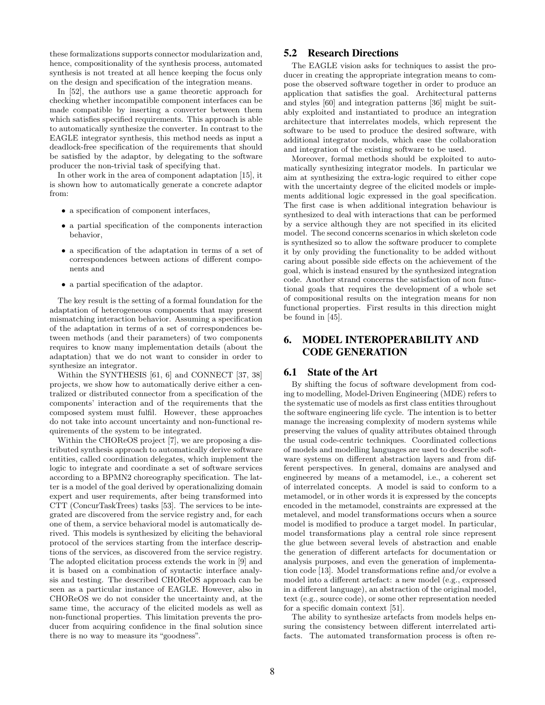these formalizations supports connector modularization and, hence, compositionality of the synthesis process, automated synthesis is not treated at all hence keeping the focus only on the design and specification of the integration means.

In [52], the authors use a game theoretic approach for checking whether incompatible component interfaces can be made compatible by inserting a converter between them which satisfies specified requirements. This approach is able to automatically synthesize the converter. In contrast to the EAGLE integrator synthesis, this method needs as input a deadlock-free specification of the requirements that should be satisfied by the adaptor, by delegating to the software producer the non-trivial task of specifying that.

In other work in the area of component adaptation [15], it is shown how to automatically generate a concrete adaptor from:

- a specification of component interfaces,
- a partial specification of the components interaction behavior,
- a specification of the adaptation in terms of a set of correspondences between actions of different components and
- a partial specification of the adaptor.

The key result is the setting of a formal foundation for the adaptation of heterogeneous components that may present mismatching interaction behavior. Assuming a specification of the adaptation in terms of a set of correspondences between methods (and their parameters) of two components requires to know many implementation details (about the adaptation) that we do not want to consider in order to synthesize an integrator.

Within the SYNTHESIS [61, 6] and CONNECT [37, 38] projects, we show how to automatically derive either a centralized or distributed connector from a specification of the components' interaction and of the requirements that the composed system must fulfil. However, these approaches do not take into account uncertainty and non-functional requirements of the system to be integrated.

Within the CHOReOS project [7], we are proposing a distributed synthesis approach to automatically derive software entities, called coordination delegates, which implement the logic to integrate and coordinate a set of software services according to a BPMN2 choreography specification. The latter is a model of the goal derived by operationalizing domain expert and user requirements, after being transformed into CTT (ConcurTaskTrees) tasks [53]. The services to be integrated are discovered from the service registry and, for each one of them, a service behavioral model is automatically derived. This models is synthesized by eliciting the behavioral protocol of the services starting from the interface descriptions of the services, as discovered from the service registry. The adopted elicitation process extends the work in [9] and it is based on a combination of syntactic interface analysis and testing. The described CHOReOS approach can be seen as a particular instance of EAGLE. However, also in CHOReOS we do not consider the uncertainty and, at the same time, the accuracy of the elicited models as well as non-functional properties. This limitation prevents the producer from acquiring confidence in the final solution since there is no way to measure its "goodness".

# 5.2 Research Directions

The EAGLE vision asks for techniques to assist the producer in creating the appropriate integration means to compose the observed software together in order to produce an application that satisfies the goal. Architectural patterns and styles [60] and integration patterns [36] might be suitably exploited and instantiated to produce an integration architecture that interrelates models, which represent the software to be used to produce the desired software, with additional integrator models, which ease the collaboration and integration of the existing software to be used.

Moreover, formal methods should be exploited to automatically synthesizing integrator models. In particular we aim at synthesizing the extra-logic required to either cope with the uncertainty degree of the elicited models or implements additional logic expressed in the goal specification. The first case is when additional integration behaviour is synthesized to deal with interactions that can be performed by a service although they are not specified in its elicited model. The second concerns scenarios in which skeleton code is synthesized so to allow the software producer to complete it by only providing the functionality to be added without caring about possible side effects on the achievement of the goal, which is instead ensured by the synthesized integration code. Another strand concerns the satisfaction of non functional goals that requires the development of a whole set of compositional results on the integration means for non functional properties. First results in this direction might be found in [45].

# 6. MODEL INTEROPERABILITY AND CODE GENERATION

#### 6.1 State of the Art

By shifting the focus of software development from coding to modelling, Model-Driven Engineering (MDE) refers to the systematic use of models as first class entities throughout the software engineering life cycle. The intention is to better manage the increasing complexity of modern systems while preserving the values of quality attributes obtained through the usual code-centric techniques. Coordinated collections of models and modelling languages are used to describe software systems on different abstraction layers and from different perspectives. In general, domains are analysed and engineered by means of a metamodel, i.e., a coherent set of interrelated concepts. A model is said to conform to a metamodel, or in other words it is expressed by the concepts encoded in the metamodel, constraints are expressed at the metalevel, and model transformations occurs when a source model is modified to produce a target model. In particular, model transformations play a central role since represent the glue between several levels of abstraction and enable the generation of different artefacts for documentation or analysis purposes, and even the generation of implementation code [13]. Model transformations refine and/or evolve a model into a different artefact: a new model (e.g., expressed in a different language), an abstraction of the original model, text (e.g., source code), or some other representation needed for a specific domain context [51].

The ability to synthesize artefacts from models helps ensuring the consistency between different interrelated artifacts. The automated transformation process is often re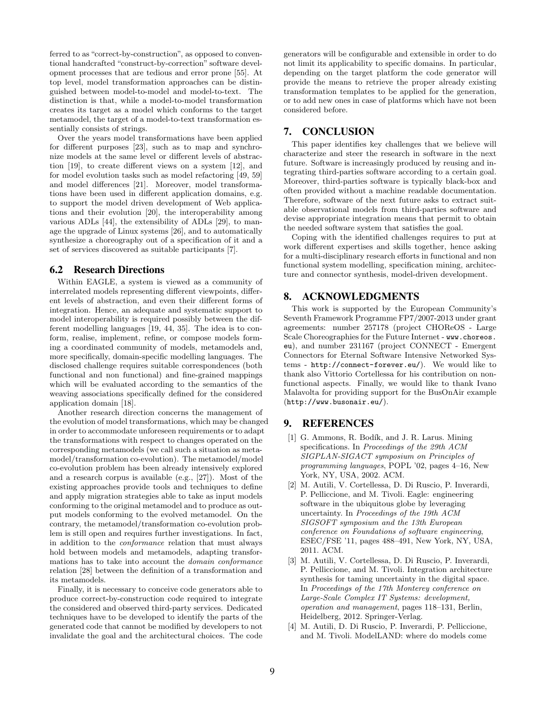ferred to as "correct-by-construction", as opposed to conventional handcrafted "construct-by-correction" software development processes that are tedious and error prone [55]. At top level, model transformation approaches can be distinguished between model-to-model and model-to-text. The distinction is that, while a model-to-model transformation creates its target as a model which conforms to the target metamodel, the target of a model-to-text transformation essentially consists of strings.

Over the years model transformations have been applied for different purposes [23], such as to map and synchronize models at the same level or different levels of abstraction [19], to create different views on a system [12], and for model evolution tasks such as model refactoring [49, 59] and model differences [21]. Moreover, model transformations have been used in different application domains, e.g. to support the model driven development of Web applications and their evolution [20], the interoperability among various ADLs [44], the extensibility of ADLs [29], to manage the upgrade of Linux systems [26], and to automatically synthesize a choreography out of a specification of it and a set of services discovered as suitable participants [7].

#### 6.2 Research Directions

Within EAGLE, a system is viewed as a community of interrelated models representing different viewpoints, different levels of abstraction, and even their different forms of integration. Hence, an adequate and systematic support to model interoperability is required possibly between the different modelling languages [19, 44, 35]. The idea is to conform, realise, implement, refine, or compose models forming a coordinated community of models, metamodels and, more specifically, domain-specific modelling languages. The disclosed challenge requires suitable correspondences (both functional and non functional) and fine-grained mappings which will be evaluated according to the semantics of the weaving associations specifically defined for the considered application domain [18].

Another research direction concerns the management of the evolution of model transformations, which may be changed in order to accommodate unforeseen requirements or to adapt the transformations with respect to changes operated on the corresponding metamodels (we call such a situation as metamodel/transformation co-evolution). The metamodel/model co-evolution problem has been already intensively explored and a research corpus is available (e.g., [27]). Most of the existing approaches provide tools and techniques to define and apply migration strategies able to take as input models conforming to the original metamodel and to produce as output models conforming to the evolved metamodel. On the contrary, the metamodel/transformation co-evolution problem is still open and requires further investigations. In fact, in addition to the conformance relation that must always hold between models and metamodels, adapting transformations has to take into account the domain conformance relation [28] between the definition of a transformation and its metamodels.

Finally, it is necessary to conceive code generators able to produce correct-by-construction code required to integrate the considered and observed third-party services. Dedicated techniques have to be developed to identify the parts of the generated code that cannot be modified by developers to not invalidate the goal and the architectural choices. The code generators will be configurable and extensible in order to do not limit its applicability to specific domains. In particular, depending on the target platform the code generator will provide the means to retrieve the proper already existing transformation templates to be applied for the generation, or to add new ones in case of platforms which have not been considered before.

# 7. CONCLUSION

This paper identifies key challenges that we believe will characterize and steer the research in software in the next future. Software is increasingly produced by reusing and integrating third-parties software according to a certain goal. Moreover, third-parties software is typically black-box and often provided without a machine readable documentation. Therefore, software of the next future asks to extract suitable observational models from third-parties software and devise appropriate integration means that permit to obtain the needed software system that satisfies the goal.

Coping with the identified challenges requires to put at work different expertises and skills together, hence asking for a multi-disciplinary research efforts in functional and non functional system modelling, specification mining, architecture and connector synthesis, model-driven development.

## 8. ACKNOWLEDGMENTS

This work is supported by the European Community's Seventh Framework Programme FP7/2007-2013 under grant agreements: number 257178 (project CHOReOS - Large Scale Choreographies for the Future Internet - www.choreos. eu), and number 231167 (project CONNECT - Emergent Connectors for Eternal Software Intensive Networked Systems - http://connect-forever.eu/). We would like to thank also Vittorio Cortellessa for his contribution on nonfunctional aspects. Finally, we would like to thank Ivano Malavolta for providing support for the BusOnAir example (http://www.busonair.eu/).

## 9. REFERENCES

- [1] G. Ammons, R. Bodík, and J. R. Larus. Mining specifications. In Proceedings of the 29th ACM SIGPLAN-SIGACT symposium on Principles of programming languages, POPL '02, pages 4–16, New York, NY, USA, 2002. ACM.
- [2] M. Autili, V. Cortellessa, D. Di Ruscio, P. Inverardi, P. Pelliccione, and M. Tivoli. Eagle: engineering software in the ubiquitous globe by leveraging uncertainty. In Proceedings of the 19th ACM SIGSOFT symposium and the 13th European conference on Foundations of software engineering, ESEC/FSE '11, pages 488–491, New York, NY, USA, 2011. ACM.
- [3] M. Autili, V. Cortellessa, D. Di Ruscio, P. Inverardi, P. Pelliccione, and M. Tivoli. Integration architecture synthesis for taming uncertainty in the digital space. In Proceedings of the 17th Monterey conference on Large-Scale Complex IT Systems: development, operation and management, pages 118–131, Berlin, Heidelberg, 2012. Springer-Verlag.
- [4] M. Autili, D. Di Ruscio, P. Inverardi, P. Pelliccione, and M. Tivoli. ModelLAND: where do models come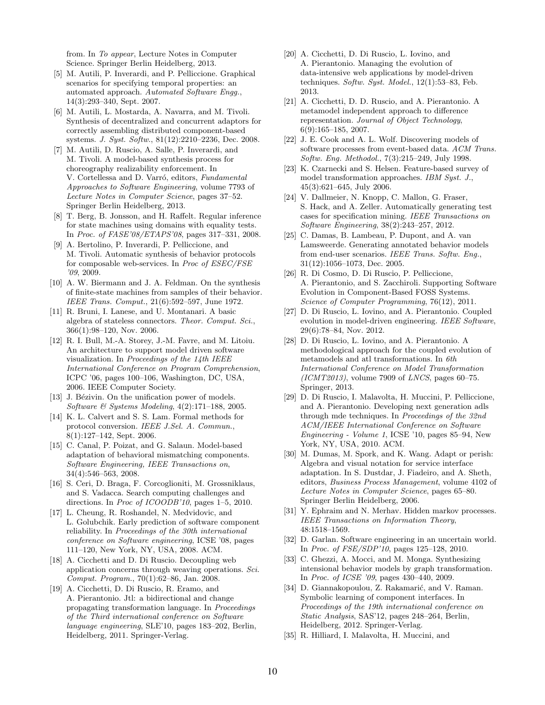from. In To appear, Lecture Notes in Computer Science. Springer Berlin Heidelberg, 2013.

- [5] M. Autili, P. Inverardi, and P. Pelliccione. Graphical scenarios for specifying temporal properties: an automated approach. Automated Software Engg., 14(3):293–340, Sept. 2007.
- [6] M. Autili, L. Mostarda, A. Navarra, and M. Tivoli. Synthesis of decentralized and concurrent adaptors for correctly assembling distributed component-based systems. J. Syst. Softw., 81(12):2210–2236, Dec. 2008.
- [7] M. Autili, D. Ruscio, A. Salle, P. Inverardi, and M. Tivoli. A model-based synthesis process for choreography realizability enforcement. In V. Cortellessa and D. Varró, editors, Fundamental Approaches to Software Engineering, volume 7793 of Lecture Notes in Computer Science, pages 37–52. Springer Berlin Heidelberg, 2013.
- [8] T. Berg, B. Jonsson, and H. Raffelt. Regular inference for state machines using domains with equality tests. In Proc. of FASE'08/ETAPS'08, pages 317–331, 2008.
- [9] A. Bertolino, P. Inverardi, P. Pelliccione, and M. Tivoli. Automatic synthesis of behavior protocols for composable web-services. In Proc of ESEC/FSE '09, 2009.
- [10] A. W. Biermann and J. A. Feldman. On the synthesis of finite-state machines from samples of their behavior. IEEE Trans. Comput., 21(6):592–597, June 1972.
- [11] R. Bruni, I. Lanese, and U. Montanari. A basic algebra of stateless connectors. Theor. Comput. Sci., 366(1):98–120, Nov. 2006.
- [12] R. I. Bull, M.-A. Storey, J.-M. Favre, and M. Litoiu. An architecture to support model driven software visualization. In Proceedings of the 14th IEEE International Conference on Program Comprehension, ICPC '06, pages 100–106, Washington, DC, USA, 2006. IEEE Computer Society.
- [13] J. Bézivin. On the unification power of models. Software  $\mathcal B$  Systems Modeling, 4(2):171–188, 2005.
- [14] K. L. Calvert and S. S. Lam. Formal methods for protocol conversion. IEEE J.Sel. A. Commun., 8(1):127–142, Sept. 2006.
- [15] C. Canal, P. Poizat, and G. Salaun. Model-based adaptation of behavioral mismatching components. Software Engineering, IEEE Transactions on, 34(4):546–563, 2008.
- [16] S. Ceri, D. Braga, F. Corcoglioniti, M. Grossniklaus, and S. Vadacca. Search computing challenges and directions. In Proc of ICOODB'10, pages 1–5, 2010.
- [17] L. Cheung, R. Roshandel, N. Medvidovic, and L. Golubchik. Early prediction of software component reliability. In Proceedings of the 30th international conference on Software engineering, ICSE '08, pages 111–120, New York, NY, USA, 2008. ACM.
- [18] A. Cicchetti and D. Di Ruscio. Decoupling web application concerns through weaving operations. Sci. Comput. Program., 70(1):62–86, Jan. 2008.
- [19] A. Cicchetti, D. Di Ruscio, R. Eramo, and A. Pierantonio. Jtl: a bidirectional and change propagating transformation language. In Proceedings of the Third international conference on Software language engineering, SLE'10, pages 183–202, Berlin, Heidelberg, 2011. Springer-Verlag.
- [20] A. Cicchetti, D. Di Ruscio, L. Iovino, and A. Pierantonio. Managing the evolution of data-intensive web applications by model-driven techniques. Softw. Syst. Model.,  $12(1):53-83$ , Feb. 2013.
- [21] A. Cicchetti, D. D. Ruscio, and A. Pierantonio. A metamodel independent approach to difference representation. Journal of Object Technology, 6(9):165–185, 2007.
- [22] J. E. Cook and A. L. Wolf. Discovering models of software processes from event-based data. ACM Trans. Softw. Eng. Methodol., 7(3):215–249, July 1998.
- [23] K. Czarnecki and S. Helsen. Feature-based survey of model transformation approaches. IBM Syst. J., 45(3):621–645, July 2006.
- [24] V. Dallmeier, N. Knopp, C. Mallon, G. Fraser, S. Hack, and A. Zeller. Automatically generating test cases for specification mining. IEEE Transactions on Software Engineering, 38(2):243–257, 2012.
- [25] C. Damas, B. Lambeau, P. Dupont, and A. van Lamsweerde. Generating annotated behavior models from end-user scenarios. IEEE Trans. Softw. Eng., 31(12):1056–1073, Dec. 2005.
- [26] R. Di Cosmo, D. Di Ruscio, P. Pelliccione, A. Pierantonio, and S. Zacchiroli. Supporting Software Evolution in Component-Based FOSS Systems. Science of Computer Programming, 76(12), 2011.
- [27] D. Di Ruscio, L. Iovino, and A. Pierantonio. Coupled evolution in model-driven engineering. IEEE Software, 29(6):78–84, Nov. 2012.
- [28] D. Di Ruscio, L. Iovino, and A. Pierantonio. A methodological approach for the coupled evolution of metamodels and atl transformations. In 6th International Conference on Model Transformation  $(ICMT2013)$ , volume 7909 of  $LNCS$ , pages 60–75. Springer, 2013.
- [29] D. Di Ruscio, I. Malavolta, H. Muccini, P. Pelliccione, and A. Pierantonio. Developing next generation adls through mde techniques. In Proceedings of the 32nd ACM/IEEE International Conference on Software Engineering - Volume 1, ICSE '10, pages 85–94, New York, NY, USA, 2010. ACM.
- [30] M. Dumas, M. Spork, and K. Wang. Adapt or perish: Algebra and visual notation for service interface adaptation. In S. Dustdar, J. Fiadeiro, and A. Sheth, editors, Business Process Management, volume 4102 of Lecture Notes in Computer Science, pages 65–80. Springer Berlin Heidelberg, 2006.
- [31] Y. Ephraim and N. Merhav. Hidden markov processes. IEEE Transactions on Information Theory, 48:1518–1569.
- [32] D. Garlan. Software engineering in an uncertain world. In Proc. of FSE/SDP'10, pages 125–128, 2010.
- [33] C. Ghezzi, A. Mocci, and M. Monga. Synthesizing intensional behavior models by graph transformation. In Proc. of ICSE '09, pages 430–440, 2009.
- [34] D. Giannakopoulou, Z. Rakamarić, and V. Raman. Symbolic learning of component interfaces. In Proceedings of the 19th international conference on Static Analysis, SAS'12, pages 248–264, Berlin, Heidelberg, 2012. Springer-Verlag.
- [35] R. Hilliard, I. Malavolta, H. Muccini, and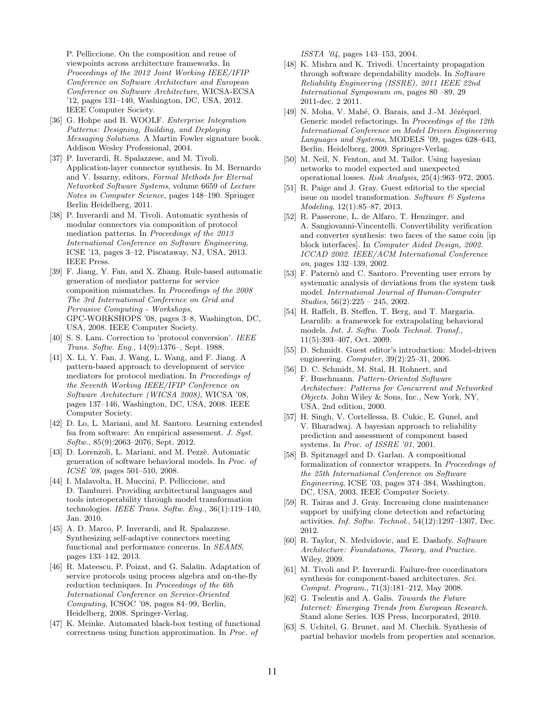P. Pelliccione. On the composition and reuse of viewpoints across architecture frameworks. In Proceedings of the 2012 Joint Working IEEE/IFIP Conference on Software Architecture and European Conference on Software Architecture, WICSA-ECSA '12, pages 131–140, Washington, DC, USA, 2012. IEEE Computer Society.

- [36] G. Hohpe and B. WOOLF. *Enterprise Integration* Patterns: Designing, Building, and Deploying Messaging Solutions. A Martin Fowler signature book. Addison Wesley Professional, 2004.
- [37] P. Inverardi, R. Spalazzese, and M. Tivoli. Application-layer connector synthesis. In M. Bernardo and V. Issarny, editors, Formal Methods for Eternal Networked Software Systems, volume 6659 of Lecture Notes in Computer Science, pages 148–190. Springer Berlin Heidelberg, 2011.
- [38] P. Inverardi and M. Tivoli. Automatic synthesis of modular connectors via composition of protocol mediation patterns. In Proceedings of the 2013 International Conference on Software Engineering, ICSE '13, pages 3–12, Piscataway, NJ, USA, 2013. IEEE Press.
- [39] F. Jiang, Y. Fan, and X. Zhang. Rule-based automatic generation of mediator patterns for service composition mismatches. In Proceedings of the 2008 The 3rd International Conference on Grid and Pervasive Computing - Workshops, GPC-WORKSHOPS '08, pages 3–8, Washington, DC, USA, 2008. IEEE Computer Society.
- [40] S. S. Lam. Correction to 'protocol conversion'. IEEE Trans. Softw. Eng., 14(9):1376–, Sept. 1988.
- [41] X. Li, Y. Fan, J. Wang, L. Wang, and F. Jiang. A pattern-based approach to development of service mediators for protocol mediation. In Proceedings of the Seventh Working IEEE/IFIP Conference on Software Architecture (WICSA 2008), WICSA '08, pages 137–146, Washington, DC, USA, 2008. IEEE Computer Society.
- [42] D. Lo, L. Mariani, and M. Santoro. Learning extended fsa from software: An empirical assessment. J. Syst. Softw., 85(9):2063–2076, Sept. 2012.
- [43] D. Lorenzoli, L. Mariani, and M. Pezzè. Automatic generation of software behavioral models. In Proc. of ICSE '08, pages 501–510, 2008.
- [44] I. Malavolta, H. Muccini, P. Pelliccione, and D. Tamburri. Providing architectural languages and tools interoperability through model transformation technologies. IEEE Trans. Softw. Eng., 36(1):119–140, Jan. 2010.
- [45] A. D. Marco, P. Inverardi, and R. Spalazzese. Synthesizing self-adaptive connectors meeting functional and performance concerns. In SEAMS, pages 133–142, 2013.
- [46] R. Mateescu, P. Poizat, and G. Salaün. Adaptation of service protocols using process algebra and on-the-fly reduction techniques. In Proceedings of the 6th International Conference on Service-Oriented Computing, ICSOC '08, pages 84–99, Berlin, Heidelberg, 2008. Springer-Verlag.
- [47] K. Meinke. Automated black-box testing of functional correctness using function approximation. In Proc. of

ISSTA '04, pages 143–153, 2004.

- [48] K. Mishra and K. Trivedi. Uncertainty propagation through software dependability models. In Software Reliability Engineering (ISSRE), 2011 IEEE 22nd International Symposium on, pages 80 –89, 29 2011-dec. 2 2011.
- [49] N. Moha, V. Mahé, O. Barais, and J.-M. Jézéquel. Generic model refactorings. In Proceedings of the 12th International Conference on Model Driven Engineering Languages and Systems, MODELS '09, pages 628–643, Berlin, Heidelberg, 2009. Springer-Verlag.
- [50] M. Neil, N. Fenton, and M. Tailor. Using bayesian networks to model expected and unexpected operational losses. Risk Analysis, 25(4):963–972, 2005.
- [51] R. Paige and J. Gray. Guest editorial to the special issue on model transformation. Software  $\mathcal C$  Systems Modeling, 12(1):85–87, 2013.
- [52] R. Passerone, L. de Alfaro, T. Henzinger, and A. Sangiovanni-Vincentelli. Convertibility verification and converter synthesis: two faces of the same coin [ip block interfaces]. In Computer Aided Design, 2002. ICCAD 2002. IEEE/ACM International Conference on, pages 132–139, 2002.
- [53] F. Paternò and C. Santoro. Preventing user errors by systematic analysis of deviations from the system task model. International Journal of Human-Computer Studies,  $56(2):225 - 245$ , 2002.
- [54] H. Raffelt, B. Steffen, T. Berg, and T. Margaria. Learnlib: a framework for extrapolating behavioral models. Int. J. Softw. Tools Technol. Transf., 11(5):393–407, Oct. 2009.
- [55] D. Schmidt. Guest editor's introduction: Model-driven engineering. Computer, 39(2):25–31, 2006.
- [56] D. C. Schmidt, M. Stal, H. Rohnert, and F. Buschmann. Pattern-Oriented Software Architecture: Patterns for Concurrent and Networked Objects. John Wiley & Sons, Inc., New York, NY, USA, 2nd edition, 2000.
- [57] H. Singh, V. Cortellessa, B. Cukic, E. Gunel, and V. Bharadwaj. A bayesian approach to reliability prediction and assessment of component based systems. In Proc. of ISSRE '01, 2001.
- [58] B. Spitznagel and D. Garlan. A compositional formalization of connector wrappers. In Proceedings of the 25th International Conference on Software Engineering, ICSE '03, pages 374–384, Washington, DC, USA, 2003. IEEE Computer Society.
- [59] R. Tairas and J. Gray. Increasing clone maintenance support by unifying clone detection and refactoring activities. Inf. Softw. Technol., 54(12):1297–1307, Dec. 2012.
- [60] R. Taylor, N. Medvidovic, and E. Dashofy. Software Architecture: Foundations, Theory, and Practice. Wiley, 2009.
- [61] M. Tivoli and P. Inverardi. Failure-free coordinators synthesis for component-based architectures. Sci. Comput. Program., 71(3):181–212, May 2008.
- [62] G. Tselentis and A. Galis. Towards the Future Internet: Emerging Trends from European Research. Stand alone Series. IOS Press, Incorporated, 2010.
- [63] S. Uchitel, G. Brunet, and M. Chechik. Synthesis of partial behavior models from properties and scenarios.